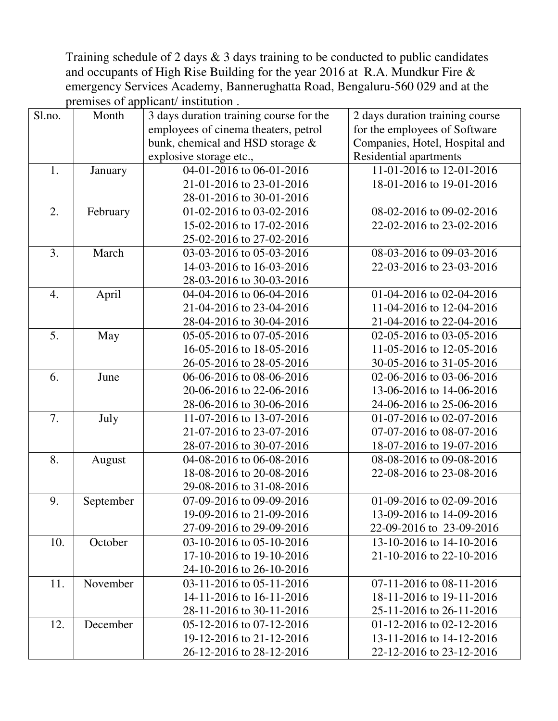Training schedule of 2 days  $\&$  3 days training to be conducted to public candidates and occupants of High Rise Building for the year 2016 at R.A. Mundkur Fire & emergency Services Academy, Bannerughatta Road, Bengaluru-560 029 and at the premises of applicant/ institution .

| Sl.no. | Month     | 3 days duration training course for the | 2 days duration training course |
|--------|-----------|-----------------------------------------|---------------------------------|
|        |           | employees of cinema theaters, petrol    | for the employees of Software   |
|        |           | bunk, chemical and HSD storage &        | Companies, Hotel, Hospital and  |
|        |           | explosive storage etc.,                 | Residential apartments          |
| 1.     | January   | 04-01-2016 to 06-01-2016                | 11-01-2016 to 12-01-2016        |
|        |           | 21-01-2016 to 23-01-2016                | 18-01-2016 to 19-01-2016        |
|        |           | 28-01-2016 to 30-01-2016                |                                 |
| 2.     | February  | 01-02-2016 to 03-02-2016                | 08-02-2016 to 09-02-2016        |
|        |           | 15-02-2016 to 17-02-2016                | 22-02-2016 to 23-02-2016        |
|        |           | 25-02-2016 to 27-02-2016                |                                 |
| 3.     | March     | 03-03-2016 to 05-03-2016                | 08-03-2016 to 09-03-2016        |
|        |           | 14-03-2016 to 16-03-2016                | 22-03-2016 to 23-03-2016        |
|        |           | 28-03-2016 to 30-03-2016                |                                 |
| 4.     | April     | 04-04-2016 to 06-04-2016                | 01-04-2016 to 02-04-2016        |
|        |           | 21-04-2016 to 23-04-2016                | 11-04-2016 to 12-04-2016        |
|        |           | 28-04-2016 to 30-04-2016                | 21-04-2016 to 22-04-2016        |
| 5.     | May       | 05-05-2016 to 07-05-2016                | 02-05-2016 to 03-05-2016        |
|        |           | 16-05-2016 to 18-05-2016                | 11-05-2016 to 12-05-2016        |
|        |           | 26-05-2016 to 28-05-2016                | 30-05-2016 to 31-05-2016        |
| 6.     | June      | 06-06-2016 to 08-06-2016                | 02-06-2016 to 03-06-2016        |
|        |           | 20-06-2016 to 22-06-2016                | 13-06-2016 to 14-06-2016        |
|        |           | 28-06-2016 to 30-06-2016                | 24-06-2016 to 25-06-2016        |
| 7.     | July      | 11-07-2016 to 13-07-2016                | 01-07-2016 to 02-07-2016        |
|        |           | 21-07-2016 to 23-07-2016                | 07-07-2016 to 08-07-2016        |
|        |           | 28-07-2016 to 30-07-2016                | 18-07-2016 to 19-07-2016        |
| 8.     | August    | 04-08-2016 to 06-08-2016                | 08-08-2016 to 09-08-2016        |
|        |           | 18-08-2016 to 20-08-2016                | 22-08-2016 to 23-08-2016        |
|        |           | 29-08-2016 to 31-08-2016                |                                 |
| 9.     | September | 07-09-2016 to 09-09-2016                | 01-09-2016 to 02-09-2016        |
|        |           | 19-09-2016 to 21-09-2016                | 13-09-2016 to 14-09-2016        |
|        |           | 27-09-2016 to 29-09-2016                | 22-09-2016 to 23-09-2016        |
| 10.    | October   | $03-10-2016$ to $05-10-2016$            | 13-10-2016 to 14-10-2016        |
|        |           | 17-10-2016 to 19-10-2016                | 21-10-2016 to 22-10-2016        |
|        |           | 24-10-2016 to 26-10-2016                |                                 |
| 11.    | November  | 03-11-2016 to 05-11-2016                | $07-11-2016$ to $08-11-2016$    |
|        |           | 14-11-2016 to 16-11-2016                | 18-11-2016 to 19-11-2016        |
|        |           | 28-11-2016 to 30-11-2016                | 25-11-2016 to 26-11-2016        |
| 12.    | December  | 05-12-2016 to 07-12-2016                | 01-12-2016 to 02-12-2016        |
|        |           | 19-12-2016 to 21-12-2016                | 13-11-2016 to 14-12-2016        |
|        |           | 26-12-2016 to 28-12-2016                | 22-12-2016 to 23-12-2016        |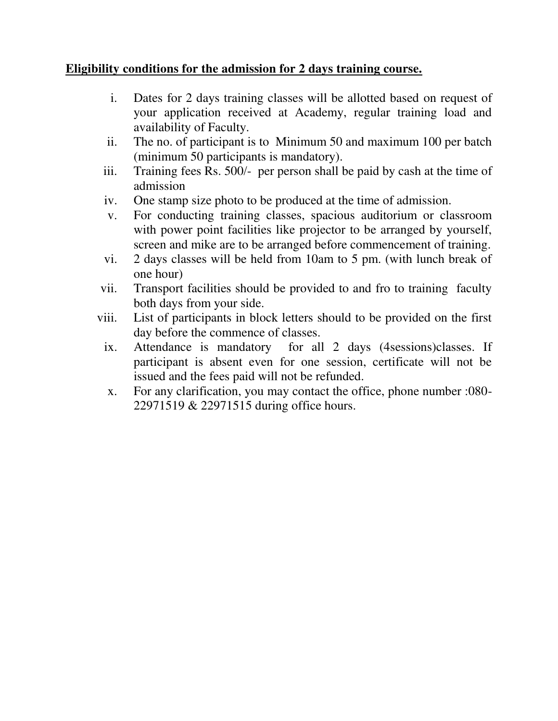## **Eligibility conditions for the admission for 2 days training course.**

- i. Dates for 2 days training classes will be allotted based on request of your application received at Academy, regular training load and availability of Faculty.
- ii. The no. of participant is to Minimum 50 and maximum 100 per batch (minimum 50 participants is mandatory).
- iii. Training fees Rs. 500/- per person shall be paid by cash at the time of admission
- iv. One stamp size photo to be produced at the time of admission.
- v. For conducting training classes, spacious auditorium or classroom with power point facilities like projector to be arranged by yourself, screen and mike are to be arranged before commencement of training.
- vi. 2 days classes will be held from 10am to 5 pm. (with lunch break of one hour)
- vii. Transport facilities should be provided to and fro to training faculty both days from your side.
- viii. List of participants in block letters should to be provided on the first day before the commence of classes.
	- ix. Attendance is mandatory for all 2 days (4sessions)classes. If participant is absent even for one session, certificate will not be issued and the fees paid will not be refunded.
	- x. For any clarification, you may contact the office, phone number :080- 22971519 & 22971515 during office hours.